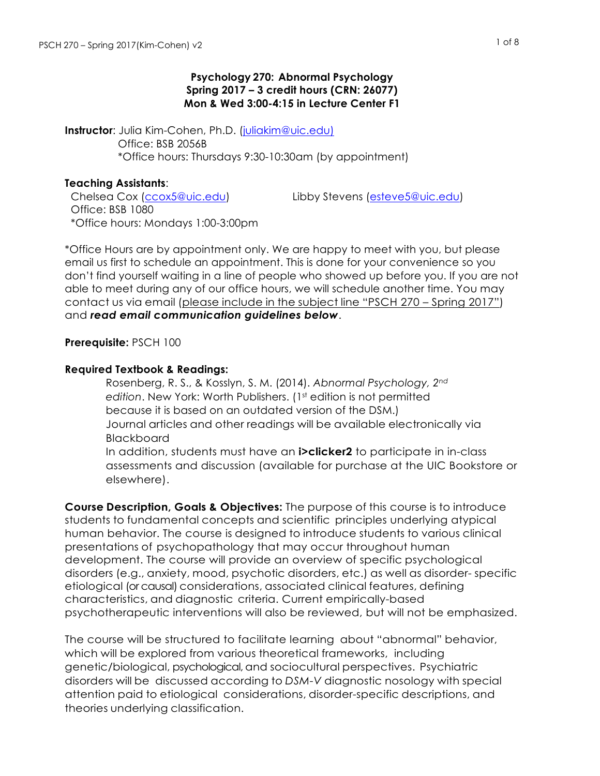#### **Psychology 270: Abnormal Psychology Spring 2017 – 3 credit hours (CRN: 26077) Mon & Wed 3:00-4:15 in Lecture Center F1**

**Instructor**: Julia Kim-Cohen, Ph.D. [\(juliakim@uic.edu](mailto:juliakim@uic.edu)) Office: BSB 2056B \*Office hours: Thursdays 9:30-10:30am (by appointment)

#### **Teaching Assistants**:

Chelsea Cox [\(ccox5@uic.edu](mailto:ccox5@uic.edu)) Libby Stevens [\(esteve5@uic.edu](mailto:esteve5@uic.edu)) Office: BSB 1080 \*Office hours: Mondays 1:00-3:00pm

\*Office Hours are by appointment only. We are happy to meet with you, but please email us first to schedule an appointment. This is done for your convenience so you don't find yourself waiting in a line of people who showed up before you. If you are not able to meet during any of our office hours, we will schedule another time. You may contact us via email (please include in the subject line "PSCH 270 – Spring 2017") and *read email communication guidelines below*.

## **Prerequisite:** PSCH 100

## **Required Textbook & Readings:**

 Rosenberg, R. S., & Kosslyn, S. M. (2014). *Abnormal Psychology, 2nd* edition. New York: Worth Publishers. (1<sup>st</sup> edition is not permitted because it is based on an outdated version of the DSM.) Journal articles and other readings will be available electronically via Blackboard In addition, students must have an **i>clicker2** to participate in in-class assessments and discussion (available for purchase at the UIC Bookstore or elsewhere).

**Course Description, Goals & Objectives:** The purpose of this course is to introduce students to fundamental concepts and scientific principles underlying atypical human behavior. The course is designed to introduce students to various clinical presentations of psychopathology that may occur throughout human development. The course will provide an overview of specific psychological disorders (e.g., anxiety, mood, psychotic disorders, etc.) as well as disorder- specific etiological (or causal) considerations, associated clinical features, defining characteristics, and diagnostic criteria. Current empirically-based psychotherapeutic interventions will also be reviewed, but will not be emphasized.

The course will be structured to facilitate learning about "abnormal" behavior, which will be explored from various theoretical frameworks, including genetic/biological, psychological, and sociocultural perspectives. Psychiatric disorders will be discussed according to *DSM-V* diagnostic nosology with special attention paid to etiological considerations, disorder-specific descriptions, and theories underlying classification.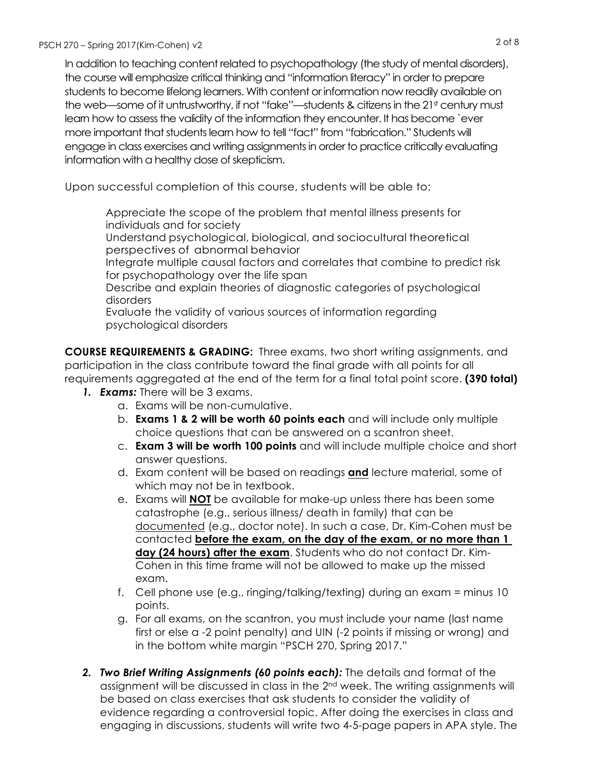In addition to teaching content related to psychopathology (the study of mental disorders), the course will emphasize critical thinking and "information literacy" in order to prepare students to become lifelong learners. With content or information now readily available on the web—some of it untrustworthy, if not "fake"—students & citizens in the  $21<sup>st</sup>$  century must learn how to assess the validity of the information they encounter. It has become `ever more important that students learn how to tell "fact" from "fabrication." Students will engage in class exercises and writing assignments in order to practice critically evaluating information with a healthy dose of skepticism.

Upon successful completion of this course, students will be able to:

 Appreciate the scope of the problem that mental illness presents for individuals and for society

 Understand psychological, biological, and sociocultural theoretical perspectives of abnormal behavior

 Integrate multiple causal factors and correlates that combine to predict risk for psychopathology over the life span

 Describe and explain theories of diagnostic categories of psychological disorders

 Evaluate the validity of various sources of information regarding psychological disorders

**COURSE REQUIREMENTS & GRADING:** Three exams, two short writing assignments, and participation in the class contribute toward the final grade with all points for all requirements aggregated at the end of the term for a final total point score. **(390 total)**

- *1. Exams:* There will be 3 exams.
	- a. Exams will be non-cumulative.
	- b. **Exams 1 & 2 will be worth 60 points each** and will include only multiple choice questions that can be answered on a scantron sheet.
	- c. **Exam 3 will be worth 100 points** and will include multiple choice and short answer questions.
	- d. Exam content will be based on readings **and** lecture material, some of which may not be in textbook.
	- e. Exams will **NOT** be available for make-up unless there has been some catastrophe (e.g., serious illness/ death in family) that can be documented (e.g., doctor note). In such a case, Dr. Kim-Cohen must be contacted **before the exam, on the day of the exam, or no more than 1 day (24 hours) after the exam**. Students who do not contact Dr. Kim-Cohen in this time frame will not be allowed to make up the missed exam.
	- f. Cell phone use (e.g., ringing/talking/texting) during an exam = minus 10 points.
	- g. For all exams, on the scantron, you must include your name (last name first or else a -2 point penalty) and UIN (-2 points if missing or wrong) and in the bottom white margin "PSCH 270, Spring 2017."
- *2. Two Brief Writing Assignments (60 points each):* The details and format of the assignment will be discussed in class in the 2<sup>nd</sup> week. The writing assignments will be based on class exercises that ask students to consider the validity of evidence regarding a controversial topic. After doing the exercises in class and engaging in discussions, students will write two 4-5-page papers in APA style. The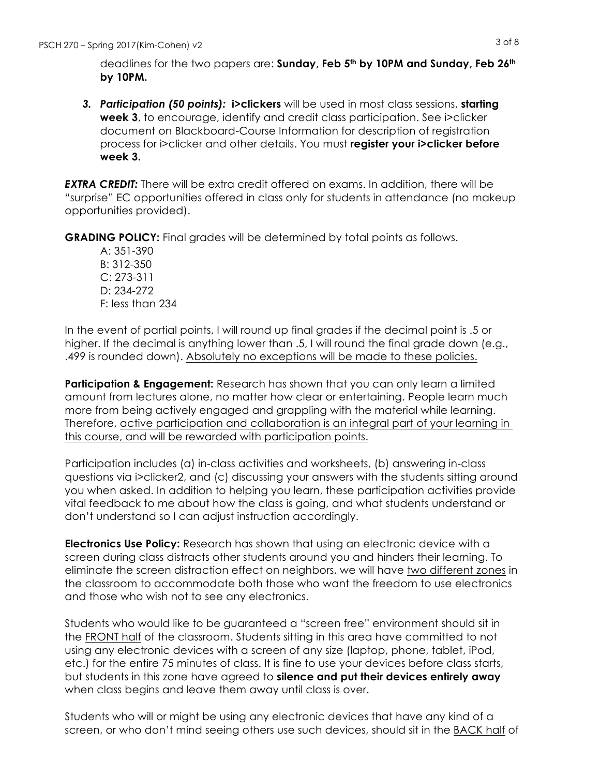deadlines for the two papers are: **Sunday, Feb 5th by 10PM and Sunday, Feb 26th by 10PM.**

*3. Participation (50 points):* **i>clickers** will be used in most class sessions, **starting week 3**, to encourage, identify and credit class participation. See i>clicker document on Blackboard-Course Information for description of registration process for i>clicker and other details. You must **register your i>clicker before week 3.** 

*EXTRA CREDIT:* There will be extra credit offered on exams. In addition, there will be "surprise" EC opportunities offered in class only for students in attendance (no makeup opportunities provided).

**GRADING POLICY:** Final grades will be determined by total points as follows.

A: 351-390 B: 312-350 C: 273-311 D: 234-272 F: less than 234

In the event of partial points, I will round up final grades if the decimal point is .5 or higher. If the decimal is anything lower than .5, I will round the final grade down (e.g., .499 is rounded down). Absolutely no exceptions will be made to these policies.

**Participation & Engagement:** Research has shown that you can only learn a limited amount from lectures alone, no matter how clear or entertaining. People learn much more from being actively engaged and grappling with the material while learning. Therefore, active participation and collaboration is an integral part of your learning in this course, and will be rewarded with participation points.

Participation includes (a) in-class activities and worksheets, (b) answering in-class questions via i>clicker2, and (c) discussing your answers with the students sitting around you when asked. In addition to helping you learn, these participation activities provide vital feedback to me about how the class is going, and what students understand or don't understand so I can adjust instruction accordingly.

**Electronics Use Policy:** Research has shown that using an electronic device with a screen during class distracts other students around you and hinders their learning. To eliminate the screen distraction effect on neighbors, we will have two different zones in the classroom to accommodate both those who want the freedom to use electronics and those who wish not to see any electronics.

Students who would like to be guaranteed a "screen free" environment should sit in the FRONT half of the classroom. Students sitting in this area have committed to not using any electronic devices with a screen of any size (laptop, phone, tablet, iPod, etc.) for the entire 75 minutes of class. It is fine to use your devices before class starts, but students in this zone have agreed to **silence and put their devices entirely away** when class begins and leave them away until class is over.

Students who will or might be using any electronic devices that have any kind of a screen, or who don't mind seeing others use such devices, should sit in the BACK half of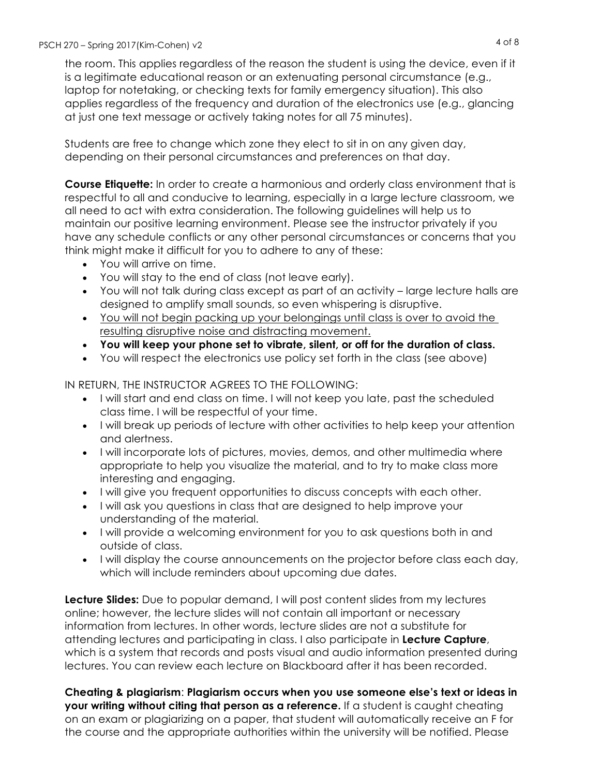the room. This applies regardless of the reason the student is using the device, even if it is a legitimate educational reason or an extenuating personal circumstance (e.g., laptop for notetaking, or checking texts for family emergency situation). This also applies regardless of the frequency and duration of the electronics use (e.g., glancing at just one text message or actively taking notes for all 75 minutes).

Students are free to change which zone they elect to sit in on any given day, depending on their personal circumstances and preferences on that day.

**Course Etiquette:** In order to create a harmonious and orderly class environment that is respectful to all and conducive to learning, especially in a large lecture classroom, we all need to act with extra consideration. The following guidelines will help us to maintain our positive learning environment. Please see the instructor privately if you have any schedule conflicts or any other personal circumstances or concerns that you think might make it difficult for you to adhere to any of these:

- You will arrive on time.
- You will stay to the end of class (not leave early).
- You will not talk during class except as part of an activity large lecture halls are designed to amplify small sounds, so even whispering is disruptive.
- You will not begin packing up your belongings until class is over to avoid the resulting disruptive noise and distracting movement.
- **You will keep your phone set to vibrate, silent, or off for the duration of class.**
- You will respect the electronics use policy set forth in the class (see above)

IN RETURN, THE INSTRUCTOR AGREES TO THE FOLLOWING:

- I will start and end class on time. I will not keep you late, past the scheduled class time. I will be respectful of your time.
- I will break up periods of lecture with other activities to help keep your attention and alertness.
- I will incorporate lots of pictures, movies, demos, and other multimedia where appropriate to help you visualize the material, and to try to make class more interesting and engaging.
- I will give you frequent opportunities to discuss concepts with each other.
- I will ask you questions in class that are designed to help improve your understanding of the material.
- I will provide a welcoming environment for you to ask questions both in and outside of class.
- I will display the course announcements on the projector before class each day, which will include reminders about upcoming due dates.

**Lecture Slides:** Due to popular demand, I will post content slides from my lectures online; however, the lecture slides will not contain all important or necessary information from lectures. In other words, lecture slides are not a substitute for attending lectures and participating in class. I also participate in **Lecture Capture**, which is a system that records and posts visual and audio information presented during lectures. You can review each lecture on Blackboard after it has been recorded.

**Cheating & plagiarism**: **Plagiarism occurs when you use someone else's text or ideas in your writing without citing that person as a reference.** If a student is caught cheating on an exam or plagiarizing on a paper, that student will automatically receive an F for the course and the appropriate authorities within the university will be notified. Please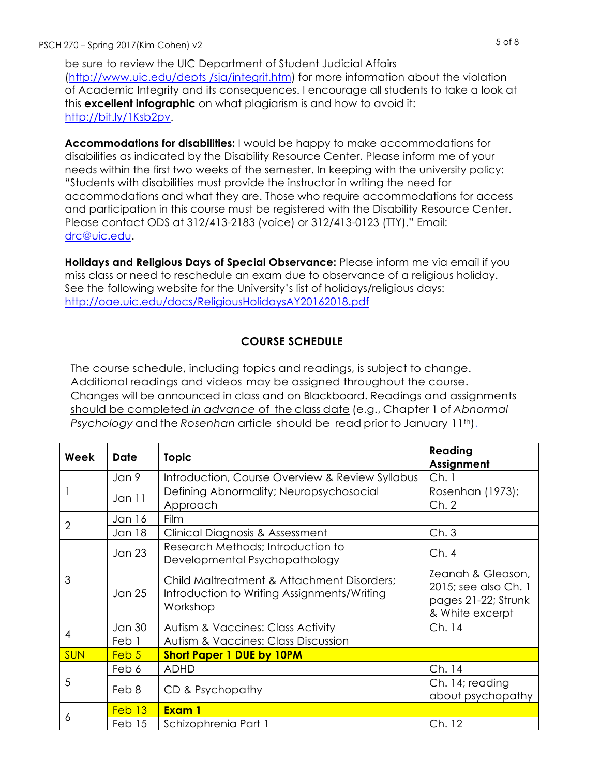be sure to review the UIC Department of Student Judicial Affairs [\(http://www.uic.edu/depts /sja/integrit.htm](http://www.uic.edu/depts /sja/integrit.htm)) for more information about the violation of Academic Integrity and its consequences. I encourage all students to take a look at this **excellent infographic** on what plagiarism is and how to avoid it: <http://bit.ly/1Ksb2pv>.

**Accommodations for disabilities:** I would be happy to make accommodations for disabilities as indicated by the Disability Resource Center. Please inform me of your needs within the first two weeks of the semester. In keeping with the university policy: "Students with disabilities must provide the instructor in writing the need for accommodations and what they are. Those who require accommodations for access and participation in this course must be registered with the Disability Resource Center. Please contact ODS at 312/413-2183 (voice) or 312/413-0123 (TTY)." Email: [drc@uic.edu](mailto:drc@uic.edu).

**Holidays and Religious Days of Special Observance:** Please inform me via email if you miss class or need to reschedule an exam due to observance of a religious holiday. See the following website for the University's list of holidays/religious days: <http://oae.uic.edu/docs/ReligiousHolidaysAY20162018.pdf>

# **COURSE SCHEDULE**

The course schedule, including topics and readings, is subject to change. Additional readings and videos may be assigned throughout the course. Changes will be announced in class and on Blackboard. Readings and assignments should be completed *in advance* of the class date (e.g., Chapter 1 of *Abnormal Psychology* and the *Rosenhan* article should be read prior to January 11<sup>th</sup>).

| Week           | <b>Date</b>   | <b>Topic</b>                                                                                          | Reading<br>Assignment                                                               |
|----------------|---------------|-------------------------------------------------------------------------------------------------------|-------------------------------------------------------------------------------------|
|                | Jan 9         | Introduction, Course Overview & Review Syllabus                                                       | Ch.1                                                                                |
|                | Jan 11        | Defining Abnormality; Neuropsychosocial<br>Approach                                                   | Rosenhan (1973);<br>Ch.2                                                            |
| $\overline{2}$ | Jan 16        | <b>Film</b>                                                                                           |                                                                                     |
|                | <b>Jan 18</b> | Clinical Diagnosis & Assessment                                                                       | Ch.3                                                                                |
| 3              | <b>Jan 23</b> | Research Methods; Introduction to<br>Developmental Psychopathology                                    | Ch.4                                                                                |
|                | Jan 25        | Child Maltreatment & Attachment Disorders;<br>Introduction to Writing Assignments/Writing<br>Workshop | Zeanah & Gleason,<br>2015; see also Ch. 1<br>pages 21-22; Strunk<br>& White excerpt |
| 4              | <b>Jan 30</b> | <b>Autism &amp; Vaccines: Class Activity</b>                                                          | Ch. 14                                                                              |
|                | Feb 1         | Autism & Vaccines: Class Discussion                                                                   |                                                                                     |
| <b>SUN</b>     | Feb 5         | <b>Short Paper 1 DUE by 10PM</b>                                                                      |                                                                                     |
| 5              | Feb 6         | <b>ADHD</b>                                                                                           | Ch. 14                                                                              |
|                | Feb 8         | CD & Psychopathy                                                                                      | Ch. 14; reading<br>about psychopathy                                                |
| 6              | Feb 13        | Exam 1                                                                                                |                                                                                     |
|                | Feb 15        | Schizophrenia Part 1                                                                                  | Ch. 12                                                                              |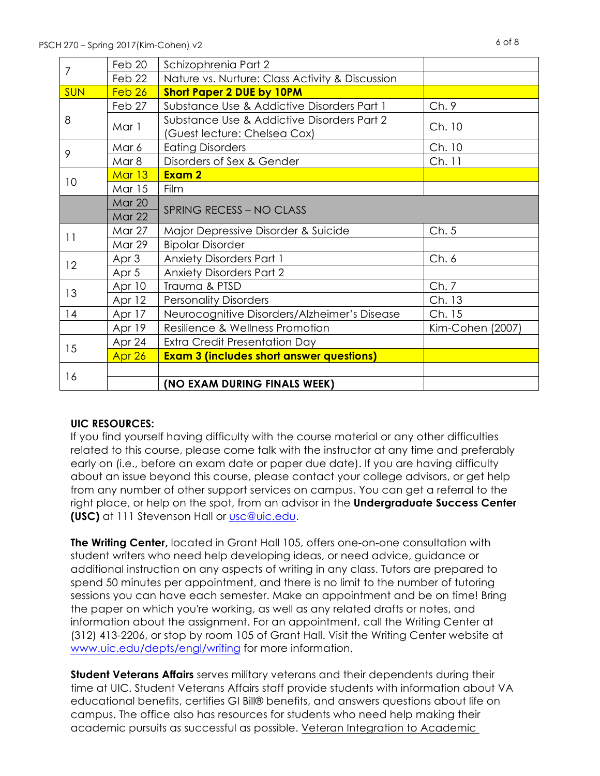|                | Feb 20            | Schizophrenia Part 2                                                       |                  |
|----------------|-------------------|----------------------------------------------------------------------------|------------------|
| $\overline{7}$ | Feb 22            | Nature vs. Nurture: Class Activity & Discussion                            |                  |
| <b>SUN</b>     | Feb <sub>26</sub> | <b>Short Paper 2 DUE by 10PM</b>                                           |                  |
|                | Feb 27            | Substance Use & Addictive Disorders Part 1                                 | Ch.9             |
| 8              | Mar 1             | Substance Use & Addictive Disorders Part 2<br>(Guest lecture: Chelsea Cox) | Ch. 10           |
|                | Mar 6             | <b>Eating Disorders</b>                                                    | Ch. 10           |
| 9              | Mar 8             | Disorders of Sex & Gender                                                  | Ch. 11           |
|                | Mar 13            | Exam 2                                                                     |                  |
| 10             | <b>Mar 15</b>     | Film                                                                       |                  |
|                | <b>Mar 20</b>     |                                                                            |                  |
|                | <b>Mar 22</b>     | <b>SPRING RECESS - NO CLASS</b>                                            |                  |
|                | <b>Mar 27</b>     | Major Depressive Disorder & Suicide                                        | Ch.5             |
| 11             | Mar 29            | <b>Bipolar Disorder</b>                                                    |                  |
|                | Apr 3             | <b>Anxiety Disorders Part 1</b>                                            | Ch.6             |
| 12             | Apr 5             | <b>Anxiety Disorders Part 2</b>                                            |                  |
| 13             | Apr 10            | Trauma & PTSD                                                              | Ch.7             |
|                | Apr 12            | <b>Personality Disorders</b>                                               | Ch. 13           |
| 14             | Apr 17            | Neurocognitive Disorders/Alzheimer's Disease                               | Ch. 15           |
|                | Apr 19            | Resilience & Wellness Promotion                                            | Kim-Cohen (2007) |
|                | Apr 24            | Extra Credit Presentation Day                                              |                  |
| 15             | Apr 26            | <b>Exam 3 (includes short answer questions)</b>                            |                  |
| 16             |                   |                                                                            |                  |
|                |                   | (NO EXAM DURING FINALS WEEK)                                               |                  |

## **UIC RESOURCES:**

If you find yourself having difficulty with the course material or any other difficulties related to this course, please come talk with the instructor at any time and preferably early on (i.e., before an exam date or paper due date). If you are having difficulty about an issue beyond this course, please contact your college advisors, or get help from any number of other support services on campus. You can get a referral to the right place, or help on the spot, from an advisor in the **Undergraduate Success Center (USC)** at 111 Stevenson Hall or [usc@uic.edu](mailto:usc@uic.edu).

**The Writing Center,** located in Grant Hall 105, offers one-on-one consultation with student writers who need help developing ideas, or need advice, guidance or additional instruction on any aspects of writing in any class. Tutors are prepared to spend 50 minutes per appointment, and there is no limit to the number of tutoring sessions you can have each semester. Make an appointment and be on time! Bring the paper on which you're working, as well as any related drafts or notes, and information about the assignment. For an appointment, call the Writing Center at (312) 413-2206, or stop by room 105 of Grant Hall. Visit the Writing Center website at [www.uic.edu/depts/engl/writing](http://www.uic.edu/depts/engl/writing) for more information.

**Student Veterans Affairs** serves military veterans and their dependents during their time at UIC. Student Veterans Affairs staff provide students with information about VA educational benefits, certifies GI Bill® benefits, and answers questions about life on campus. The office also has resources for students who need help making their academic pursuits as successful as possible. Veteran Integration to Academic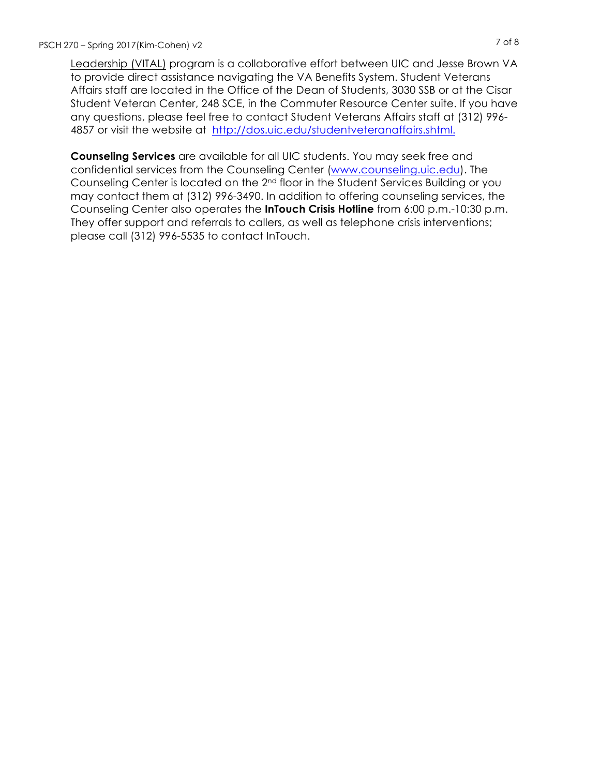Leadership (VITAL) program is a collaborative effort between UIC and Jesse Brown VA to provide direct assistance navigating the VA Benefits System. Student Veterans Affairs staff are located in the Office of the Dean of Students, 3030 SSB or at the Cisar Student Veteran Center, 248 SCE, in the Commuter Resource Center suite. If you have any questions, please feel free to contact Student Veterans Affairs staff at (312) 996- 4857 or visit the website at [http://dos.uic.edu/studentveteranaffairs.shtml.](http://dos.uic.edu/studentveteranaffairs.shtml)

**Counseling Services** are available for all UIC students. You may seek free and confidential services from the Counseling Center ([www.counseling.uic.edu](http://www.counseling.uic.edu/)). The Counseling Center is located on the 2nd floor in the Student Services Building or you may contact them at (312) 996-3490. In addition to offering counseling services, the Counseling Center also operates the **InTouch Crisis Hotline** from 6:00 p.m.-10:30 p.m. They offer support and referrals to callers, as well as telephone crisis interventions; please call (312) 996-5535 to contact InTouch.